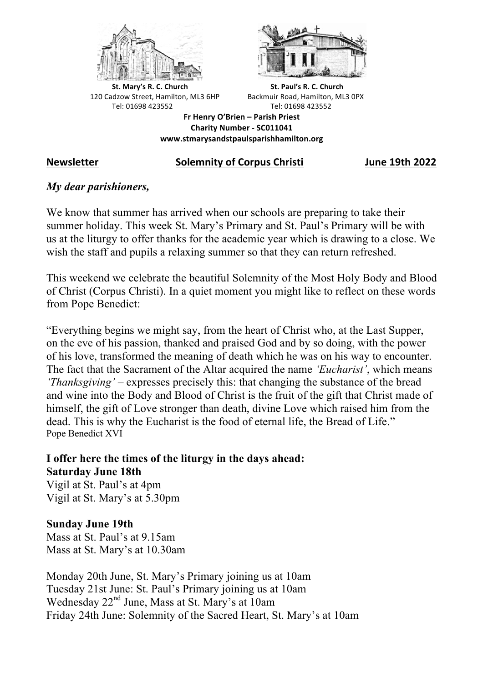



**St.** Mary's R. C. Church St. Paul's R. C. Church 120 Cadzow Street, Hamilton, ML3 6HP Backmuir Road, Hamilton, ML3 0PX Tel: 01698 423552 Tel: 01698 423552

**Fr Henry O'Brien – Parish Priest Charity Number - SC011041 www.stmarysandstpaulsparishhamilton.org**

## **Newsletter Solemnity of Corpus Christi June 19th 2022**

# *My dear parishioners,*

We know that summer has arrived when our schools are preparing to take their summer holiday. This week St. Mary's Primary and St. Paul's Primary will be with us at the liturgy to offer thanks for the academic year which is drawing to a close. We wish the staff and pupils a relaxing summer so that they can return refreshed.

This weekend we celebrate the beautiful Solemnity of the Most Holy Body and Blood of Christ (Corpus Christi). In a quiet moment you might like to reflect on these words from Pope Benedict:

"Everything begins we might say, from the heart of Christ who, at the Last Supper, on the eve of his passion, thanked and praised God and by so doing, with the power of his love, transformed the meaning of death which he was on his way to encounter. The fact that the Sacrament of the Altar acquired the name *'Eucharist'*, which means *'Thanksgiving'* – expresses precisely this: that changing the substance of the bread and wine into the Body and Blood of Christ is the fruit of the gift that Christ made of himself, the gift of Love stronger than death, divine Love which raised him from the dead. This is why the Eucharist is the food of eternal life, the Bread of Life." Pope Benedict XVI

**I offer here the times of the liturgy in the days ahead: Saturday June 18th** Vigil at St. Paul's at 4pm Vigil at St. Mary's at 5.30pm

**Sunday June 19th** Mass at St. Paul's at 9.15am

Mass at St. Mary's at 10.30am

Monday 20th June, St. Mary's Primary joining us at 10am Tuesday 21st June: St. Paul's Primary joining us at 10am Wednesday 22nd June, Mass at St. Mary's at 10am Friday 24th June: Solemnity of the Sacred Heart, St. Mary's at 10am